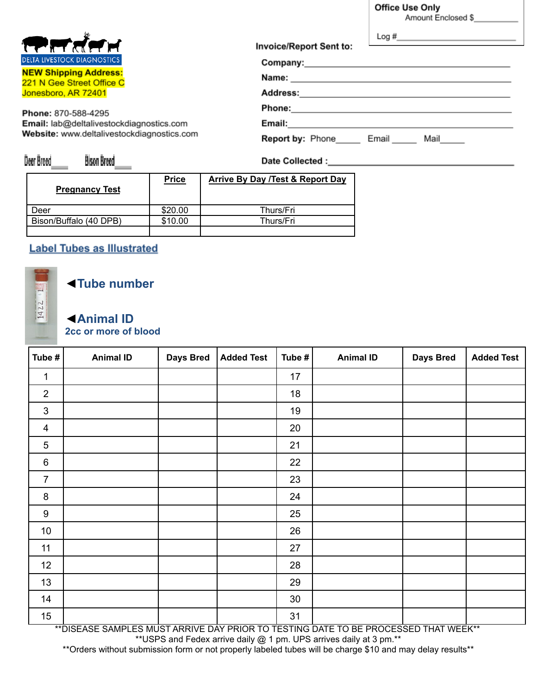**Office Use Only** 

Amount Enclosed \$\_

| स्थित तौस्र न                                             | Log#<br><b>Invoice/Report Sent to:</b>   |
|-----------------------------------------------------------|------------------------------------------|
| <b>DELTA LIVESTOCK DIAGNOSTICS</b>                        |                                          |
| <b>NEW Shipping Address:</b><br>221 N Gee Street Office C | Name:                                    |
| Jonesboro, AR 72401                                       | <b>Address:</b>                          |
| Phone: 870-588-4295                                       | <b>Phone:</b>                            |
| Email: lab@deltalivestockdiagnostics.com                  | Email:                                   |
| Website: www.deltalivestockdiagnostics.com                | <b>Report by: Phone</b><br>Mail<br>Email |

Bison Breed Deer Breed

| <b>Pregnancy Test</b>  | <b>Price</b> | <b>Arrive By Day /Test &amp; Report Day</b> |
|------------------------|--------------|---------------------------------------------|
| Deer                   | \$20.00      | Thurs/Fri                                   |
| Bison/Buffalo (40 DPB) | \$10.00      | Thurs/Fri                                   |
|                        |              |                                             |

## **Label Tubes as Illustrated**

## MOJECT 1422

## ◄**Tube number**

## ◄**Animal ID 2cc or more of blood**

| Tube #           | <b>Animal ID</b> | <b>Days Bred</b> | <b>Added Test</b> | Tube # | <b>Animal ID</b> | <b>Days Bred</b> | <b>Added Test</b> |
|------------------|------------------|------------------|-------------------|--------|------------------|------------------|-------------------|
| $\mathbf{1}$     |                  |                  |                   | 17     |                  |                  |                   |
| $\overline{2}$   |                  |                  |                   | 18     |                  |                  |                   |
| $\mathfrak{S}$   |                  |                  |                   | 19     |                  |                  |                   |
| $\overline{4}$   |                  |                  |                   | 20     |                  |                  |                   |
| $\sqrt{5}$       |                  |                  |                   | 21     |                  |                  |                   |
| $\,6$            |                  |                  |                   | 22     |                  |                  |                   |
| $\overline{7}$   |                  |                  |                   | 23     |                  |                  |                   |
| $\bf 8$          |                  |                  |                   | 24     |                  |                  |                   |
| $\boldsymbol{9}$ |                  |                  |                   | 25     |                  |                  |                   |
| 10               |                  |                  |                   | 26     |                  |                  |                   |
| 11               |                  |                  |                   | 27     |                  |                  |                   |
| 12               |                  |                  |                   | 28     |                  |                  |                   |
| 13               |                  |                  |                   | 29     |                  |                  |                   |
| 14               |                  |                  |                   | 30     |                  |                  |                   |
| 15               |                  |                  |                   | 31     |                  |                  |                   |

\*\*DISEASE SAMPLES MUST ARRIVE DAY PRIOR TO TESTING DATE TO BE PROCESSED THAT WEEK\*\* \*\*USPS and Fedex arrive daily @ 1 pm. UPS arrives daily at 3 pm.\*\*

\*\*Orders without submission form or not properly labeled tubes will be charge \$10 and may delay results\*\*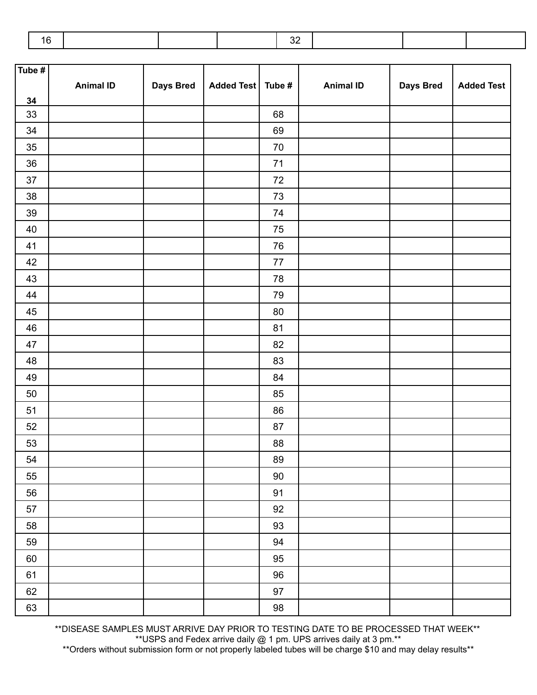|--|--|--|

| Tube $#$ |                  |                  |                     |            |                  |           |                   |
|----------|------------------|------------------|---------------------|------------|------------------|-----------|-------------------|
|          | <b>Animal ID</b> | <b>Days Bred</b> | Added Test   Tube # |            | <b>Animal ID</b> | Days Bred | <b>Added Test</b> |
| 34       |                  |                  |                     |            |                  |           |                   |
| $33\,$   |                  |                  |                     | 68         |                  |           |                   |
| $34\,$   |                  |                  |                     | 69         |                  |           |                   |
| $35\,$   |                  |                  |                     | $70\,$     |                  |           |                   |
| $36\,$   |                  |                  |                     | $71$       |                  |           |                   |
| $37\,$   |                  |                  |                     | $72\,$     |                  |           |                   |
| $38\,$   |                  |                  |                     | 73         |                  |           |                   |
| $39\,$   |                  |                  |                     | 74         |                  |           |                   |
| 40       |                  |                  |                     | 75         |                  |           |                   |
| 41       |                  |                  |                     | 76         |                  |           |                   |
| $42\,$   |                  |                  |                     | $77\,$     |                  |           |                   |
| $43\,$   |                  |                  |                     | ${\bf 78}$ |                  |           |                   |
| 44       |                  |                  |                     | 79         |                  |           |                   |
| 45       |                  |                  |                     | $80\,$     |                  |           |                   |
| 46       |                  |                  |                     | 81         |                  |           |                   |
| 47       |                  |                  |                     | 82         |                  |           |                   |
| 48       |                  |                  |                     | 83         |                  |           |                   |
| 49       |                  |                  |                     | 84         |                  |           |                   |
| $50\,$   |                  |                  |                     | 85         |                  |           |                   |
| 51       |                  |                  |                     | 86         |                  |           |                   |
| 52       |                  |                  |                     | 87         |                  |           |                   |
| 53       |                  |                  |                     | ${\bf 88}$ |                  |           |                   |
| 54       |                  |                  |                     | 89         |                  |           |                   |
| 55       |                  |                  |                     | 90         |                  |           |                   |
| 56       |                  |                  |                     | 91         |                  |           |                   |
| 57       |                  |                  |                     | 92         |                  |           |                   |
| 58       |                  |                  |                     | 93         |                  |           |                   |
| 59       |                  |                  |                     | 94         |                  |           |                   |
| 60       |                  |                  |                     | 95         |                  |           |                   |
| 61       |                  |                  |                     | 96         |                  |           |                   |
| 62       |                  |                  |                     | 97         |                  |           |                   |
| 63       |                  |                  |                     | 98         |                  |           |                   |

\*\*DISEASE SAMPLES MUST ARRIVE DAY PRIOR TO TESTING DATE TO BE PROCESSED THAT WEEK\*\* \*\*USPS and Fedex arrive daily @ 1 pm. UPS arrives daily at 3 pm.\*\*

\*\*Orders without submission form or not properly labeled tubes will be charge \$10 and may delay results\*\*